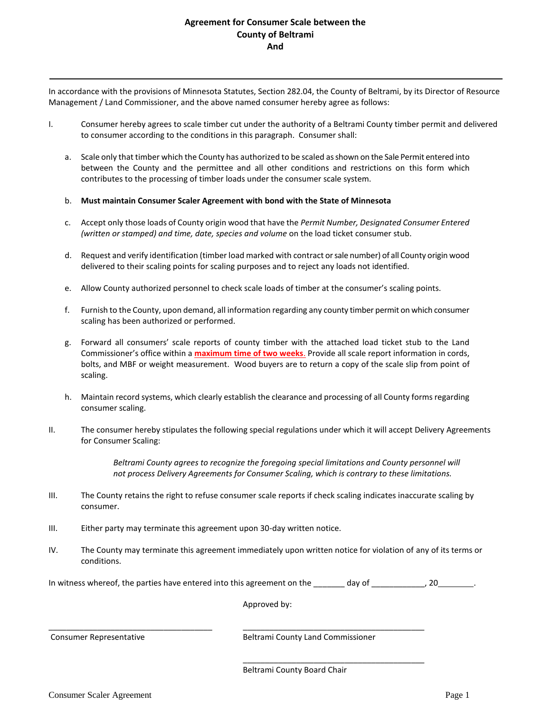## **Agreement for Consumer Scale between the County of Beltrami And**

In accordance with the provisions of Minnesota Statutes, Section 282.04, the County of Beltrami, by its Director of Resource Management / Land Commissioner, and the above named consumer hereby agree as follows:

- I. Consumer hereby agrees to scale timber cut under the authority of a Beltrami County timber permit and delivered to consumer according to the conditions in this paragraph. Consumer shall:
	- a. Scale only that timber which the County has authorized to be scaled as shown on the Sale Permit entered into between the County and the permittee and all other conditions and restrictions on this form which contributes to the processing of timber loads under the consumer scale system.

## b. **Must maintain Consumer Scaler Agreement with bond with the State of Minnesota**

- c. Accept only those loads of County origin wood that have the *Permit Number, Designated Consumer Entered (written or stamped) and time, date, species and volume* on the load ticket consumer stub.
- d. Request and verify identification (timber load marked with contract or sale number) of all County origin wood delivered to their scaling points for scaling purposes and to reject any loads not identified.
- e. Allow County authorized personnel to check scale loads of timber at the consumer's scaling points.
- f. Furnish to the County, upon demand, all information regarding any county timber permit on which consumer scaling has been authorized or performed.
- g. Forward all consumers' scale reports of county timber with the attached load ticket stub to the Land Commissioner's office within a **maximum time of two weeks**. Provide all scale report information in cords, bolts, and MBF or weight measurement. Wood buyers are to return a copy of the scale slip from point of scaling.
- h. Maintain record systems, which clearly establish the clearance and processing of all County forms regarding consumer scaling.
- II. The consumer hereby stipulates the following special regulations under which it will accept Delivery Agreements for Consumer Scaling:

*Beltrami County agrees to recognize the foregoing special limitations and County personnel will not process Delivery Agreements for Consumer Scaling, which is contrary to these limitations.*

- III. The County retains the right to refuse consumer scale reports if check scaling indicates inaccurate scaling by consumer.
- III. Either party may terminate this agreement upon 30-day written notice.
- IV. The County may terminate this agreement immediately upon written notice for violation of any of its terms or conditions.

In witness whereof, the parties have entered into this agreement on the \_\_\_\_\_\_\_ day of \_\_\_\_\_\_\_\_\_\_, 20\_\_\_\_\_\_\_\_.

\_\_\_\_\_\_\_\_\_\_\_\_\_\_\_\_\_\_\_\_\_\_\_\_\_\_\_\_\_\_\_\_\_\_\_\_\_ \_\_\_\_\_\_\_\_\_\_\_\_\_\_\_\_\_\_\_\_\_\_\_\_\_\_\_\_\_\_\_\_\_\_\_\_\_\_\_\_\_

Approved by:

Consumer Representative **Beltrami County Land Commissioner** Beltrami County Land Commissioner

\_\_\_\_\_\_\_\_\_\_\_\_\_\_\_\_\_\_\_\_\_\_\_\_\_\_\_\_\_\_\_\_\_\_\_\_\_\_\_\_\_

Beltrami County Board Chair